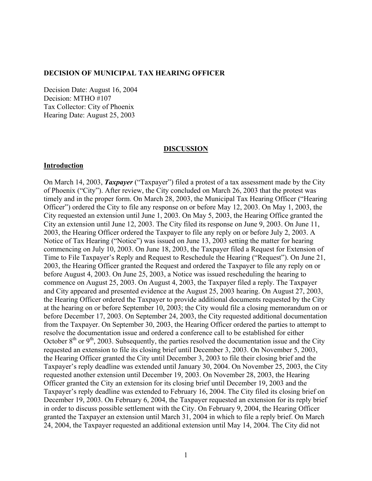#### **DECISION OF MUNICIPAL TAX HEARING OFFICER**

Decision Date: August 16, 2004 Decision: MTHO #107 Tax Collector: City of Phoenix Hearing Date: August 25, 2003

#### **DISCUSSION**

#### **Introduction**

On March 14, 2003, *Taxpayer* ("Taxpayer") filed a protest of a tax assessment made by the City of Phoenix ("City"). After review, the City concluded on March 26, 2003 that the protest was timely and in the proper form. On March 28, 2003, the Municipal Tax Hearing Officer ("Hearing Officer") ordered the City to file any response on or before May 12, 2003. On May 1, 2003, the City requested an extension until June 1, 2003. On May 5, 2003, the Hearing Office granted the City an extension until June 12, 2003. The City filed its response on June 9, 2003. On June 11, 2003, the Hearing Officer ordered the Taxpayer to file any reply on or before July 2, 2003. A Notice of Tax Hearing ("Notice") was issued on June 13, 2003 setting the matter for hearing commencing on July 10, 2003. On June 18, 2003, the Taxpayer filed a Request for Extension of Time to File Taxpayer's Reply and Request to Reschedule the Hearing ("Request"). On June 21, 2003, the Hearing Officer granted the Request and ordered the Taxpayer to file any reply on or before August 4, 2003. On June 25, 2003, a Notice was issued rescheduling the hearing to commence on August 25, 2003. On August 4, 2003, the Taxpayer filed a reply. The Taxpayer and City appeared and presented evidence at the August 25, 2003 hearing. On August 27, 2003, the Hearing Officer ordered the Taxpayer to provide additional documents requested by the City at the hearing on or before September 10, 2003; the City would file a closing memorandum on or before December 17, 2003. On September 24, 2003, the City requested additional documentation from the Taxpayer. On September 30, 2003, the Hearing Officer ordered the parties to attempt to resolve the documentation issue and ordered a conference call to be established for either October  $8<sup>th</sup>$  or  $9<sup>th</sup>$ , 2003. Subsequently, the parties resolved the documentation issue and the City requested an extension to file its closing brief until December 3, 2003. On November 5, 2003, the Hearing Officer granted the City until December 3, 2003 to file their closing brief and the Taxpayer's reply deadline was extended until January 30, 2004. On November 25, 2003, the City requested another extension until December 19, 2003. On November 28, 2003, the Hearing Officer granted the City an extension for its closing brief until December 19, 2003 and the Taxpayer's reply deadline was extended to February 16, 2004. The City filed its closing brief on December 19, 2003. On February 6, 2004, the Taxpayer requested an extension for its reply brief in order to discuss possible settlement with the City. On February 9, 2004, the Hearing Officer granted the Taxpayer an extension until March 31, 2004 in which to file a reply brief. On March 24, 2004, the Taxpayer requested an additional extension until May 14, 2004. The City did not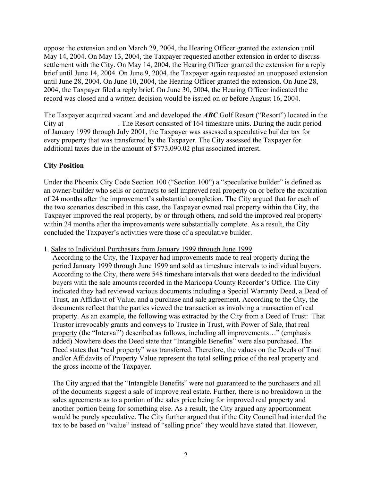oppose the extension and on March 29, 2004, the Hearing Officer granted the extension until May 14, 2004. On May 13, 2004, the Taxpayer requested another extension in order to discuss settlement with the City. On May 14, 2004, the Hearing Officer granted the extension for a reply brief until June 14, 2004. On June 9, 2004, the Taxpayer again requested an unopposed extension until June 28, 2004. On June 10, 2004, the Hearing Officer granted the extension. On June 28, 2004, the Taxpayer filed a reply brief. On June 30, 2004, the Hearing Officer indicated the record was closed and a written decision would be issued on or before August 16, 2004.

The Taxpayer acquired vacant land and developed the *ABC* Golf Resort ("Resort") located in the City at . The Resort consisted of 164 timeshare units. During the audit period of January 1999 through July 2001, the Taxpayer was assessed a speculative builder tax for every property that was transferred by the Taxpayer. The City assessed the Taxpayer for additional taxes due in the amount of \$773,090.02 plus associated interest.

# **City Position**

Under the Phoenix City Code Section 100 ("Section 100") a "speculative builder" is defined as an owner-builder who sells or contracts to sell improved real property on or before the expiration of 24 months after the improvement's substantial completion. The City argued that for each of the two scenarios described in this case, the Taxpayer owned real property within the City, the Taxpayer improved the real property, by or through others, and sold the improved real property within 24 months after the improvements were substantially complete. As a result, the City concluded the Taxpayer's activities were those of a speculative builder.

1. Sales to Individual Purchasers from January 1999 through June 1999

According to the City, the Taxpayer had improvements made to real property during the period January 1999 through June 1999 and sold as timeshare intervals to individual buyers. According to the City, there were 548 timeshare intervals that were deeded to the individual buyers with the sale amounts recorded in the Maricopa County Recorder's Office. The City indicated they had reviewed various documents including a Special Warranty Deed, a Deed of Trust, an Affidavit of Value, and a purchase and sale agreement. According to the City, the documents reflect that the parties viewed the transaction as involving a transaction of real property. As an example, the following was extracted by the City from a Deed of Trust: That Trustor irrevocably grants and conveys to Trustee in Trust, with Power of Sale, that real property (the "Interval") described as follows, including all improvements…" (emphasis added) Nowhere does the Deed state that "Intangible Benefits" were also purchased. The Deed states that "real property" was transferred. Therefore, the values on the Deeds of Trust and/or Affidavits of Property Value represent the total selling price of the real property and the gross income of the Taxpayer.

The City argued that the "Intangible Benefits" were not guaranteed to the purchasers and all of the documents suggest a sale of improve real estate. Further, there is no breakdown in the sales agreements as to a portion of the sales price being for improved real property and another portion being for something else. As a result, the City argued any apportionment would be purely speculative. The City further argued that if the City Council had intended the tax to be based on "value" instead of "selling price" they would have stated that. However,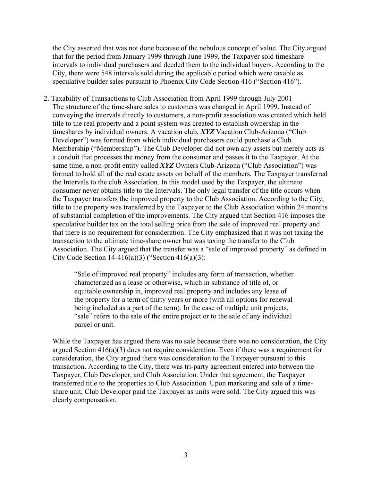the City asserted that was not done because of the nebulous concept of value. The City argued that for the period from January 1999 through June 1999, the Taxpayer sold timeshare intervals to individual purchasers and deeded them to the individual buyers. According to the City, there were 548 intervals sold during the applicable period which were taxable as speculative builder sales pursuant to Phoenix City Code Section 416 ("Section 416").

2. Taxability of Transactions to Club Association from April 1999 through July 2001 The structure of the time-share sales to customers was changed in April 1999. Instead of conveying the intervals directly to customers, a non-profit association was created which held title to the real property and a point system was created to establish ownership in the timeshares by individual owners. A vacation club, *XYZ* Vacation Club-Arizona ("Club Developer") was formed from which individual purchasers could purchase a Club Membership ("Membership"). The Club Developer did not own any assets but merely acts as a conduit that processes the money from the consumer and passes it to the Taxpayer. At the same time, a non-profit entity called *XYZ* Owners Club-Arizona ("Club Association") was formed to hold all of the real estate assets on behalf of the members. The Taxpayer transferred the Intervals to the club Association. In this model used by the Taxpayer, the ultimate consumer never obtains title to the Intervals. The only legal transfer of the title occurs when the Taxpayer transfers the improved property to the Club Association. According to the City, title to the property was transferred by the Taxpayer to the Club Association within 24 months of substantial completion of the improvements. The City argued that Section 416 imposes the speculative builder tax on the total selling price from the sale of improved real property and that there is no requirement for consideration. The City emphasized that it was not taxing the transaction to the ultimate time-share owner but was taxing the transfer to the Club Association. The City argued that the transfer was a "sale of improved property" as defined in City Code Section  $14-416(a)(3)$  ("Section  $416(a)(3)$ :

> "Sale of improved real property" includes any form of transaction, whether characterized as a lease or otherwise, which in substance of title of, or equitable ownership in, improved real property and includes any lease of the property for a term of thirty years or more (with all options for renewal being included as a part of the term). In the case of multiple unit projects, "sale" refers to the sale of the entire project or to the sale of any individual parcel or unit.

While the Taxpayer has argued there was no sale because there was no consideration, the City argued Section 416(a)(3) does not require consideration. Even if there was a requirement for consideration, the City argued there was consideration to the Taxpayer pursuant to this transaction. According to the City, there was tri-party agreement entered into between the Taxpayer, Club Developer, and Club Association. Under that agreement, the Taxpayer transferred title to the properties to Club Association. Upon marketing and sale of a timeshare unit, Club Developer paid the Taxpayer as units were sold. The City argued this was clearly compensation.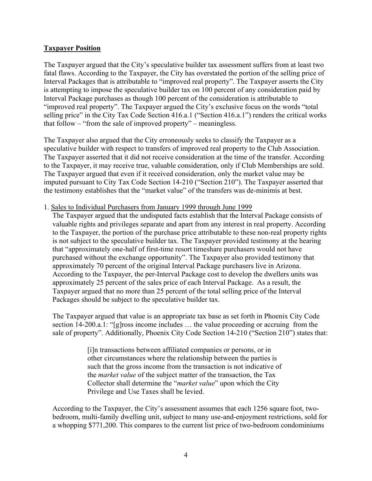## **Taxpayer Position**

The Taxpayer argued that the City's speculative builder tax assessment suffers from at least two fatal flaws. According to the Taxpayer, the City has overstated the portion of the selling price of Interval Packages that is attributable to "improved real property". The Taxpayer asserts the City is attempting to impose the speculative builder tax on 100 percent of any consideration paid by Interval Package purchases as though 100 percent of the consideration is attributable to "improved real property". The Taxpayer argued the City's exclusive focus on the words "total selling price" in the City Tax Code Section 416.a.1 ("Section 416.a.1") renders the critical works that follow – "from the sale of improved property" – meaningless.

The Taxpayer also argued that the City erroneously seeks to classify the Taxpayer as a speculative builder with respect to transfers of improved real property to the Club Association. The Taxpayer asserted that it did not receive consideration at the time of the transfer. According to the Taxpayer, it may receive true, valuable consideration, only if Club Memberships are sold. The Taxpayer argued that even if it received consideration, only the market value may be imputed pursuant to City Tax Code Section 14-210 ("Section 210"). The Taxpayer asserted that the testimony establishes that the "market value" of the transfers was de-minimis at best.

## 1. Sales to Individual Purchasers from January 1999 through June 1999

The Taxpayer argued that the undisputed facts establish that the Interval Package consists of valuable rights and privileges separate and apart from any interest in real property. According to the Taxpayer, the portion of the purchase price attributable to these non-real property rights is not subject to the speculative builder tax. The Taxpayer provided testimony at the hearing that "approximately one-half of first-time resort timeshare purchasers would not have purchased without the exchange opportunity". The Taxpayer also provided testimony that approximately 70 percent of the original Interval Package purchasers live in Arizona. According to the Taxpayer, the per-Interval Package cost to develop the dwellers units was approximately 25 percent of the sales price of each Interval Package. As a result, the Taxpayer argued that no more than 25 percent of the total selling price of the Interval Packages should be subject to the speculative builder tax.

The Taxpayer argued that value is an appropriate tax base as set forth in Phoenix City Code section 14-200.a.1: "[g]ross income includes … the value proceeding or accruing from the sale of property". Additionally, Phoenix City Code Section 14-210 ("Section 210") states that:

> [i]n transactions between affiliated companies or persons, or in other circumstances where the relationship between the parties is such that the gross income from the transaction is not indicative of the *market value* of the subject matter of the transaction, the Tax Collector shall determine the "*market value*" upon which the City Privilege and Use Taxes shall be levied.

According to the Taxpayer, the City's assessment assumes that each 1256 square foot, twobedroom, multi-family dwelling unit, subject to many use-and-enjoyment restrictions, sold for a whopping \$771,200. This compares to the current list price of two-bedroom condominiums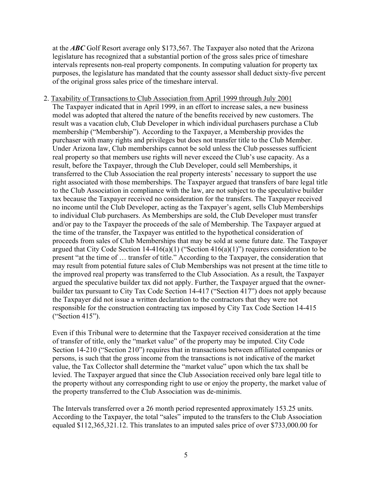at the *ABC* Golf Resort average only \$173,567. The Taxpayer also noted that the Arizona legislature has recognized that a substantial portion of the gross sales price of timeshare intervals represents non-real property components. In computing valuation for property tax purposes, the legislature has mandated that the county assessor shall deduct sixty-five percent of the original gross sales price of the timeshare interval.

2. Taxability of Transactions to Club Association from April 1999 through July 2001 The Taxpayer indicated that in April 1999, in an effort to increase sales, a new business model was adopted that altered the nature of the benefits received by new customers. The result was a vacation club, Club Developer in which individual purchasers purchase a Club membership ("Membership"). According to the Taxpayer, a Membership provides the purchaser with many rights and privileges but does not transfer title to the Club Member. Under Arizona law, Club memberships cannot be sold unless the Club possesses sufficient real property so that members use rights will never exceed the Club's use capacity. As a result, before the Taxpayer, through the Club Developer, could sell Memberships, it transferred to the Club Association the real property interests' necessary to support the use right associated with those memberships. The Taxpayer argued that transfers of bare legal title to the Club Association in compliance with the law, are not subject to the speculative builder tax because the Taxpayer received no consideration for the transfers. The Taxpayer received no income until the Club Developer, acting as the Taxpayer's agent, sells Club Memberships to individual Club purchasers. As Memberships are sold, the Club Developer must transfer and/or pay to the Taxpayer the proceeds of the sale of Membership. The Taxpayer argued at the time of the transfer, the Taxpayer was entitled to the hypothetical consideration of proceeds from sales of Club Memberships that may be sold at some future date. The Taxpayer argued that City Code Section  $14-416(a)(1)$  ("Section  $416(a)(1)$ ") requires consideration to be present "at the time of … transfer of title." According to the Taxpayer, the consideration that may result from potential future sales of Club Memberships was not present at the time title to the improved real property was transferred to the Club Association. As a result, the Taxpayer argued the speculative builder tax did not apply. Further, the Taxpayer argued that the ownerbuilder tax pursuant to City Tax Code Section 14-417 ("Section 417") does not apply because the Taxpayer did not issue a written declaration to the contractors that they were not responsible for the construction contracting tax imposed by City Tax Code Section 14-415 ("Section 415").

Even if this Tribunal were to determine that the Taxpayer received consideration at the time of transfer of title, only the "market value" of the property may be imputed. City Code Section 14-210 ("Section 210") requires that in transactions between affiliated companies or persons, is such that the gross income from the transactions is not indicative of the market value, the Tax Collector shall determine the "market value" upon which the tax shall be levied. The Taxpayer argued that since the Club Association received only bare legal title to the property without any corresponding right to use or enjoy the property, the market value of the property transferred to the Club Association was de-minimis.

The Intervals transferred over a 26 month period represented approximately 153.25 units. According to the Taxpayer, the total "sales" imputed to the transfers to the Club Association equaled \$112,365,321.12. This translates to an imputed sales price of over \$733,000.00 for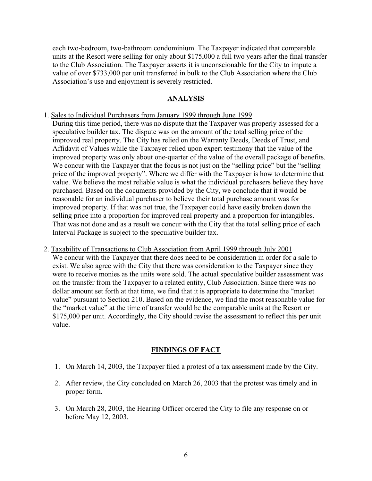each two-bedroom, two-bathroom condominium. The Taxpayer indicated that comparable units at the Resort were selling for only about \$175,000 a full two years after the final transfer to the Club Association. The Taxpayer asserts it is unconscionable for the City to impute a value of over \$733,000 per unit transferred in bulk to the Club Association where the Club Association's use and enjoyment is severely restricted.

#### **ANALYSIS**

1. Sales to Individual Purchasers from January 1999 through June 1999

During this time period, there was no dispute that the Taxpayer was properly assessed for a speculative builder tax. The dispute was on the amount of the total selling price of the improved real property. The City has relied on the Warranty Deeds, Deeds of Trust, and Affidavit of Values while the Taxpayer relied upon expert testimony that the value of the improved property was only about one-quarter of the value of the overall package of benefits. We concur with the Taxpayer that the focus is not just on the "selling price" but the "selling price of the improved property". Where we differ with the Taxpayer is how to determine that value. We believe the most reliable value is what the individual purchasers believe they have purchased. Based on the documents provided by the City, we conclude that it would be reasonable for an individual purchaser to believe their total purchase amount was for improved property. If that was not true, the Taxpayer could have easily broken down the selling price into a proportion for improved real property and a proportion for intangibles. That was not done and as a result we concur with the City that the total selling price of each Interval Package is subject to the speculative builder tax.

2. Taxability of Transactions to Club Association from April 1999 through July 2001 We concur with the Taxpayer that there does need to be consideration in order for a sale to exist. We also agree with the City that there was consideration to the Taxpayer since they were to receive monies as the units were sold. The actual speculative builder assessment was on the transfer from the Taxpayer to a related entity, Club Association. Since there was no dollar amount set forth at that time, we find that it is appropriate to determine the "market value" pursuant to Section 210. Based on the evidence, we find the most reasonable value for the "market value" at the time of transfer would be the comparable units at the Resort or \$175,000 per unit. Accordingly, the City should revise the assessment to reflect this per unit value.

## **FINDINGS OF FACT**

- 1. On March 14, 2003, the Taxpayer filed a protest of a tax assessment made by the City.
- 2. After review, the City concluded on March 26, 2003 that the protest was timely and in proper form.
- 3. On March 28, 2003, the Hearing Officer ordered the City to file any response on or before May 12, 2003.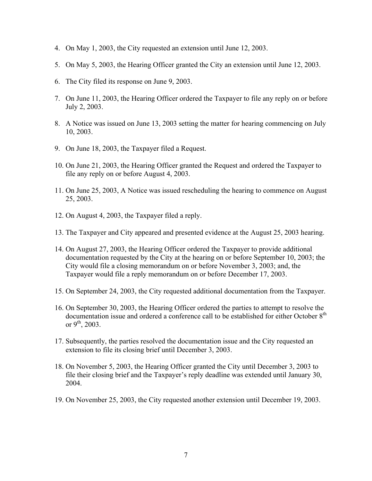- 4. On May 1, 2003, the City requested an extension until June 12, 2003.
- 5. On May 5, 2003, the Hearing Officer granted the City an extension until June 12, 2003.
- 6. The City filed its response on June 9, 2003.
- 7. On June 11, 2003, the Hearing Officer ordered the Taxpayer to file any reply on or before July 2, 2003.
- 8. A Notice was issued on June 13, 2003 setting the matter for hearing commencing on July 10, 2003.
- 9. On June 18, 2003, the Taxpayer filed a Request.
- 10. On June 21, 2003, the Hearing Officer granted the Request and ordered the Taxpayer to file any reply on or before August 4, 2003.
- 11. On June 25, 2003, A Notice was issued rescheduling the hearing to commence on August 25, 2003.
- 12. On August 4, 2003, the Taxpayer filed a reply.
- 13. The Taxpayer and City appeared and presented evidence at the August 25, 2003 hearing.
- 14. On August 27, 2003, the Hearing Officer ordered the Taxpayer to provide additional documentation requested by the City at the hearing on or before September 10, 2003; the City would file a closing memorandum on or before November 3, 2003; and, the Taxpayer would file a reply memorandum on or before December 17, 2003.
- 15. On September 24, 2003, the City requested additional documentation from the Taxpayer.
- 16. On September 30, 2003, the Hearing Officer ordered the parties to attempt to resolve the documentation issue and ordered a conference call to be established for either October  $8<sup>th</sup>$ or  $9^{th}$ , 2003.
- 17. Subsequently, the parties resolved the documentation issue and the City requested an extension to file its closing brief until December 3, 2003.
- 18. On November 5, 2003, the Hearing Officer granted the City until December 3, 2003 to file their closing brief and the Taxpayer's reply deadline was extended until January 30, 2004.
- 19. On November 25, 2003, the City requested another extension until December 19, 2003.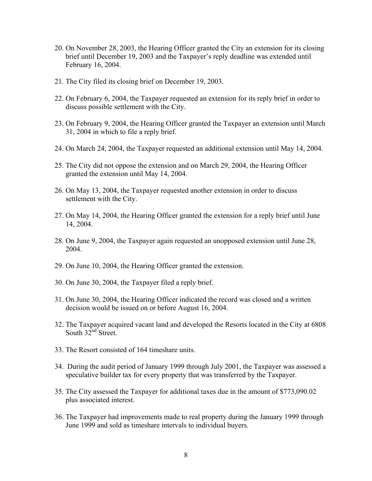- 20. On November 28, 2003, the Hearing Officer granted the City an extension for its closing brief until December 19, 2003 and the Taxpayer's reply deadline was extended until February 16, 2004.
- 21. The City filed its closing brief on December 19, 2003.
- 22. On February 6, 2004, the Taxpayer requested an extension for its reply brief in order to discuss possible settlement with the City.
- 23. On February 9, 2004, the Hearing Officer granted the Taxpayer an extension until March 31, 2004 in which to file a reply brief.
- 24. On March 24, 2004, the Taxpayer requested an additional extension until May 14, 2004.
- 25. The City did not oppose the extension and on March 29, 2004, the Hearing Officer granted the extension until May 14, 2004.
- 26. On May 13, 2004, the Taxpayer requested another extension in order to discuss settlement with the City.
- 27. On May 14, 2004, the Hearing Officer granted the extension for a reply brief until June 14, 2004.
- 28. On June 9, 2004, the Taxpayer again requested an unopposed extension until June 28, 2004.
- 29. On June 10, 2004, the Hearing Officer granted the extension.
- 30. On June 30, 2004, the Taxpayer filed a reply brief.
- 31. On June 30, 2004, the Hearing Officer indicated the record was closed and a written decision would be issued on or before August 16, 2004.
- 32. The Taxpayer acquired vacant land and developed the Resorts located in the City at 6808 South 32<sup>nd</sup> Street.
- 33. The Resort consisted of 164 timeshare units.
- 34. During the audit period of January 1999 through July 2001, the Taxpayer was assessed a speculative builder tax for every property that was transferred by the Taxpayer.
- 35. The City assessed the Taxpayer for additional taxes due in the amount of \$773,090.02 plus associated interest.
- 36. The Taxpayer had improvements made to real property during the January 1999 through June 1999 and sold as timeshare intervals to individual buyers.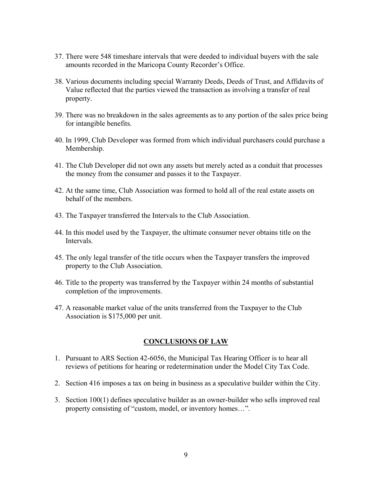- 37. There were 548 timeshare intervals that were deeded to individual buyers with the sale amounts recorded in the Maricopa County Recorder's Office.
- 38. Various documents including special Warranty Deeds, Deeds of Trust, and Affidavits of Value reflected that the parties viewed the transaction as involving a transfer of real property.
- 39. There was no breakdown in the sales agreements as to any portion of the sales price being for intangible benefits.
- 40. In 1999, Club Developer was formed from which individual purchasers could purchase a Membership.
- 41. The Club Developer did not own any assets but merely acted as a conduit that processes the money from the consumer and passes it to the Taxpayer.
- 42. At the same time, Club Association was formed to hold all of the real estate assets on behalf of the members.
- 43. The Taxpayer transferred the Intervals to the Club Association.
- 44. In this model used by the Taxpayer, the ultimate consumer never obtains title on the **Intervals**
- 45. The only legal transfer of the title occurs when the Taxpayer transfers the improved property to the Club Association.
- 46. Title to the property was transferred by the Taxpayer within 24 months of substantial completion of the improvements.
- 47. A reasonable market value of the units transferred from the Taxpayer to the Club Association is \$175,000 per unit.

#### **CONCLUSIONS OF LAW**

- 1. Pursuant to ARS Section 42-6056, the Municipal Tax Hearing Officer is to hear all reviews of petitions for hearing or redetermination under the Model City Tax Code.
- 2. Section 416 imposes a tax on being in business as a speculative builder within the City.
- 3. Section 100(1) defines speculative builder as an owner-builder who sells improved real property consisting of "custom, model, or inventory homes…".